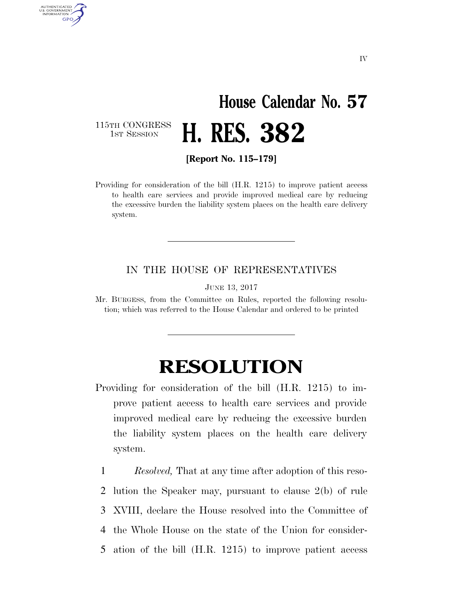## **House Calendar No. 57**  1ST SESSION **H. RES. 382**

115TH CONGRESS<br>1st Session

AUTHENTICATED U.S. GOVERNMENT **GPO** 

**[Report No. 115–179]** 

Providing for consideration of the bill (H.R. 1215) to improve patient access to health care services and provide improved medical care by reducing the excessive burden the liability system places on the health care delivery system.

## IN THE HOUSE OF REPRESENTATIVES

JUNE 13, 2017

Mr. BURGESS, from the Committee on Rules, reported the following resolution; which was referred to the House Calendar and ordered to be printed

## **RESOLUTION**

Providing for consideration of the bill (H.R. 1215) to improve patient access to health care services and provide improved medical care by reducing the excessive burden the liability system places on the health care delivery system.

 *Resolved,* That at any time after adoption of this reso- lution the Speaker may, pursuant to clause 2(b) of rule XVIII, declare the House resolved into the Committee of the Whole House on the state of the Union for consider-ation of the bill (H.R. 1215) to improve patient access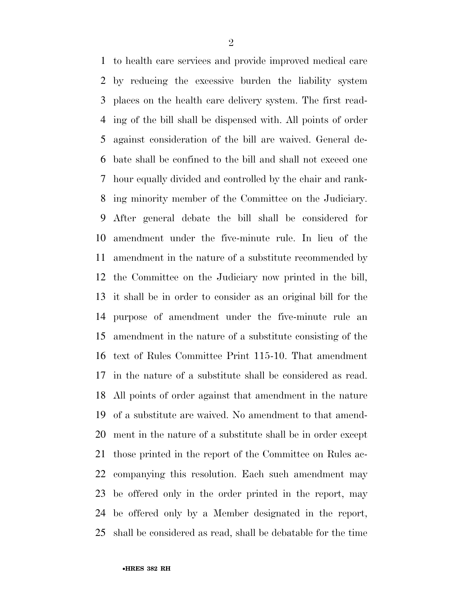to health care services and provide improved medical care by reducing the excessive burden the liability system places on the health care delivery system. The first read- ing of the bill shall be dispensed with. All points of order against consideration of the bill are waived. General de- bate shall be confined to the bill and shall not exceed one hour equally divided and controlled by the chair and rank- ing minority member of the Committee on the Judiciary. After general debate the bill shall be considered for amendment under the five-minute rule. In lieu of the amendment in the nature of a substitute recommended by the Committee on the Judiciary now printed in the bill, it shall be in order to consider as an original bill for the purpose of amendment under the five-minute rule an amendment in the nature of a substitute consisting of the text of Rules Committee Print 115-10. That amendment in the nature of a substitute shall be considered as read. All points of order against that amendment in the nature of a substitute are waived. No amendment to that amend- ment in the nature of a substitute shall be in order except those printed in the report of the Committee on Rules ac- companying this resolution. Each such amendment may be offered only in the order printed in the report, may be offered only by a Member designated in the report, shall be considered as read, shall be debatable for the time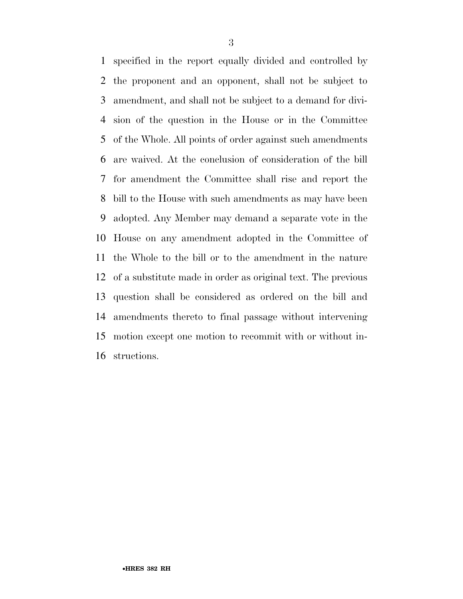specified in the report equally divided and controlled by the proponent and an opponent, shall not be subject to amendment, and shall not be subject to a demand for divi- sion of the question in the House or in the Committee of the Whole. All points of order against such amendments are waived. At the conclusion of consideration of the bill for amendment the Committee shall rise and report the bill to the House with such amendments as may have been adopted. Any Member may demand a separate vote in the House on any amendment adopted in the Committee of the Whole to the bill or to the amendment in the nature of a substitute made in order as original text. The previous question shall be considered as ordered on the bill and amendments thereto to final passage without intervening motion except one motion to recommit with or without in-structions.